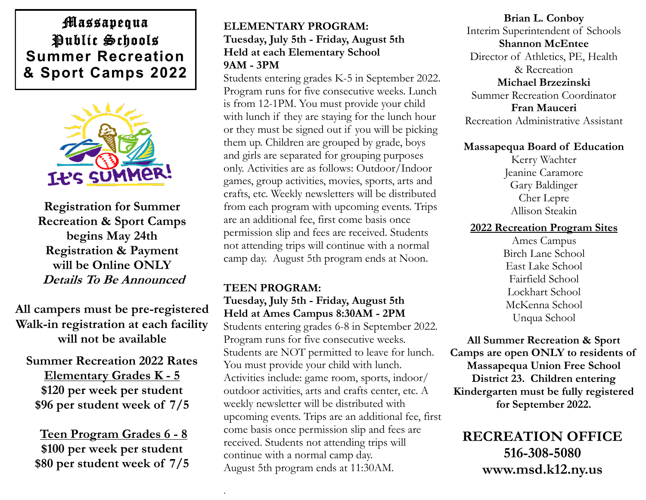## Massapequa Public Schools **Summer Recreation & Sport Camps 2022**



**Registration for Summer Recreation & Sport Camps begins May 24th Registration & Payment will be Online ONLY Details To Be Announced**

**All campers must be pre-registered Walk-in registration at each facility will not be available** 

**Summer Recreation 2022 Rates Elementary Grades K - 5 \$120 per week per student \$96 per student week of 7/5** 

**Teen Program Grades 6 - 8 \$100 per week per student \$80 per student week of 7/5**

### **ELEMENTARY PROGRAM: Tuesday, July 5th - Friday, August 5th Held at each Elementary School 9AM - 3PM**

Students entering grades K-5 in September 2022. Program runs for five consecutive weeks. Lunch is from 12-1PM. You must provide your child with lunch if they are staying for the lunch hour or they must be signed out if you will be picking them up. Children are grouped by grade, boys and girls are separated for grouping purposes only. Activities are as follows: Outdoor/Indoor games, group activities, movies, sports, arts and crafts, etc. Weekly newsletters will be distributed from each program with upcoming events. Trips are an additional fee, first come basis once permission slip and fees are received. Students not attending trips will continue with a normal camp day. August 5th program ends at Noon.

## **TEEN PROGRAM:**

.

### **Tuesday, July 5th - Friday, August 5th Held at Ames Campus 8:30AM - 2PM**

Students entering grades 6-8 in September 2022. Program runs for five consecutive weeks. Students are NOT permitted to leave for lunch. You must provide your child with lunch. Activities include: game room, sports, indoor/ outdoor activities, arts and crafts center, etc. A weekly newsletter will be distributed with upcoming events. Trips are an additional fee, first come basis once permission slip and fees are received. Students not attending trips will continue with a normal camp day. August 5th program ends at 11:30AM.

**Brian L. Conboy** Interim Superintendent of Schools **Shannon McEntee** Director of Athletics, PE, Health & Recreation **Michael Brzezinski** Summer Recreation Coordinator **Fran Mauceri** Recreation Administrative Assistant

#### **Massapequa Board of Education**

Kerry Wachter Jeanine Caramore Gary Baldinger Cher Lepre Allison Steakin

#### **2022 Recreation Program Sites**

Ames Campus Birch Lane School East Lake School Fairfield School Lockhart School McKenna School Unqua School

**All Summer Recreation & Sport Camps are open ONLY to residents of Massapequa Union Free School District 23. Children entering Kindergarten must be fully registered for September 2022.** 

**RECREATION OFFICE 516-308-5080 www.msd.k12.ny.us**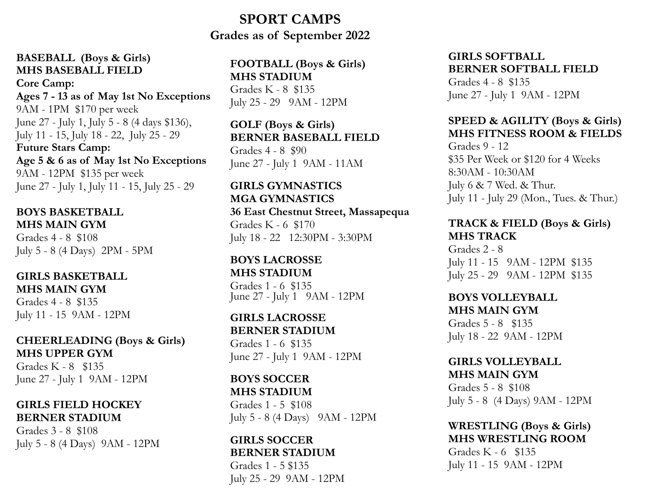## **SPORT CAMPS Grades as of September 2022**

#### **BASEBALL (Boys & Girls) MHS BASEBALL FIELD**

**Core Camp: Ages 7 - 13 as of May 1st No Exceptions** 9AM - 1PM \$170 per week June 27 - July 1, July 5 - 8 (4 days \$136), July 11 - 15, July 18 - 22, July 25 - 29 **Future Stars Camp: Age 5 & 6 as of May 1st No Exceptions** 9AM - 12PM \$135 per week June 27 - July 1, July 11 - 15, July 25 - 29

#### **BOYS BASKETBALL MHS MAIN GYM**

Grades 4 - 8 \$108 July 5 - 8 (4 Days) 2PM - 5PM

#### **GIRLS BASKETBALL MHS MAIN GYM**

Grades 4 - 8 \$135 July 11 - 15 9AM - 12PM

## **CHEERLEADING (Boys & Girls) MHS UPPER GYM**

Grades K - 8 \$135 June 27 - July 1 9AM - 12PM

#### **GIRLS FIELD HOCKEY BERNER STADIUM**

Grades 3 - 8 \$108 July 5 - 8 (4 Days) 9AM - 12PM

#### **FOOTBALL (Boys & Girls) MHS STADIUM** Grades K - 8 \$135

July 25 - 29 9AM - 12PM

### **GOLF (Boys & Girls) BERNER BASEBALL FIELD**

Grades 4 - 8 \$90 June 27 - July 1 9AM - 11AM

## **GIRLS GYMNASTICS MGA GYMNASTICS**

#### **36 East Chestnut Street, Massapequa** Grades K - 6 \$170 July 18 - 22 12:30PM - 3:30PM

#### **BOYS LACROSSE MHS STADIUM** Grades 1 - 6 \$135 June 27 - July 1 9AM - 12PM

## **GIRLS LACROSSE BERNER STADIUM**

Grades 1 - 6 \$135 June 27 - July 1 9AM - 12PM

## **BOYS SOCCER MHS STADIUM**

Grades 1 - 5 \$108 July 5 - 8 (4 Days) 9AM - 12PM

#### **GIRLS SOCCER BERNER STADIUM**

Grades 1 - 5 \$135 July 25 - 29 9AM - 12PM

#### **GIRLS SOFTBALL BERNER SOFTBALL FIELD**

Grades 4 - 8 \$135 June 27 - July 1 9AM - 12PM

## **SPEED & AGILITY (Boys & Girls) MHS FITNESS ROOM & FIELDS**

Grades 9 - 12 \$35 Per Week or \$120 for 4 Weeks 8:30AM - 10:30AM July 6 & 7 Wed. & Thur. July 11 - July 29 (Mon., Tues. & Thur.)

#### **TRACK & FIELD (Boys & Girls) MHS TRACK**

Grades 2 - 8 July 11 - 15 9AM - 12PM \$135 July 25 - 29 9AM - 12PM \$135

#### **BOYS VOLLEYBALL MHS MAIN GYM**

Grades 5 - 8 \$135 July 18 - 22 9AM - 12PM

#### **GIRLS VOLLEYBALL MHS MAIN GYM**

Grades 5 - 8 \$108 July 5 - 8 (4 Days) 9AM - 12PM

#### **WRESTLING (Boys & Girls) MHS WRESTLING ROOM**

Grades K - 6 \$135 July 11 - 15 9AM - 12PM